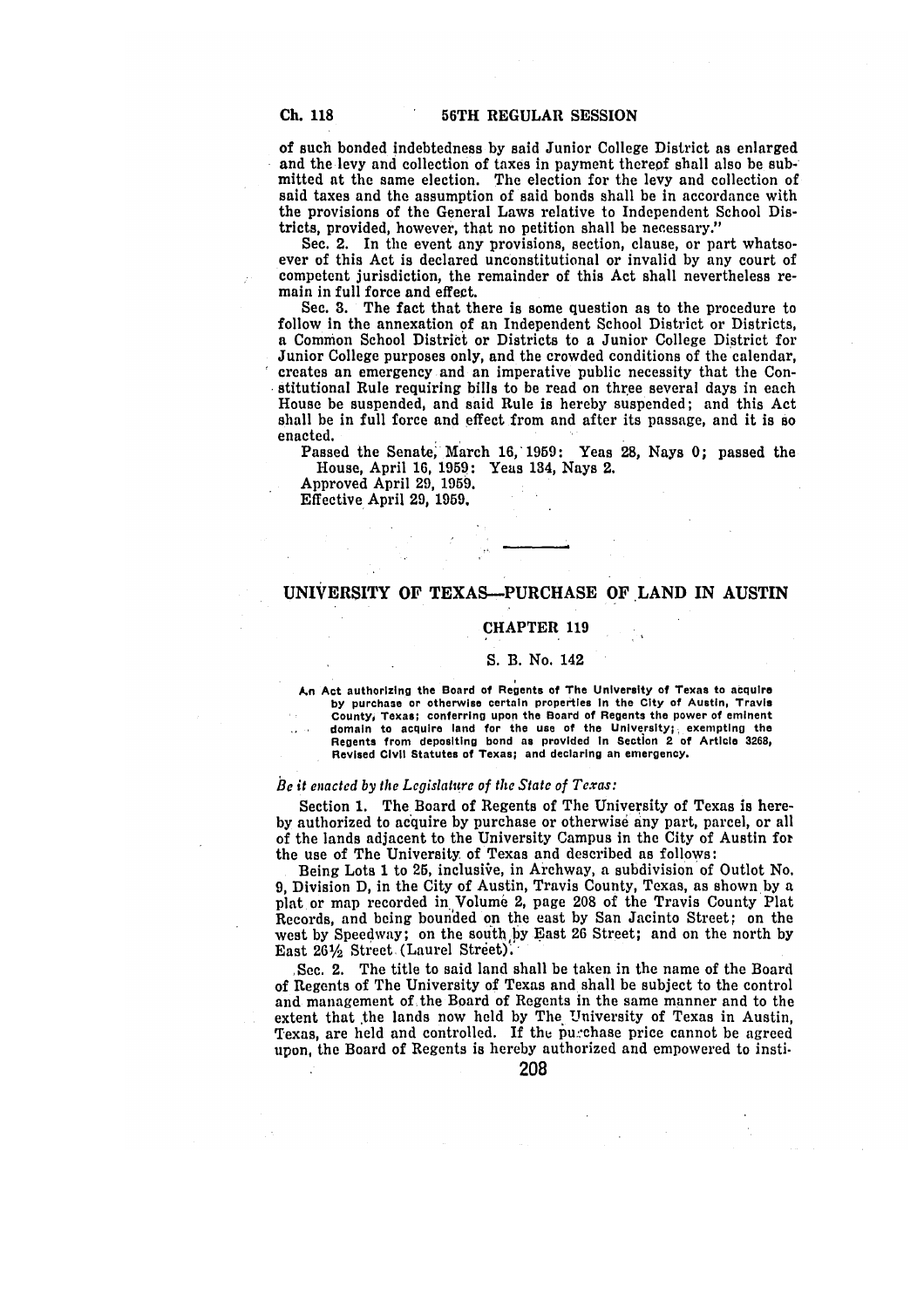of such bonded indebtedness **by** said Junior College District as enlarged and the levy and collection of taxes in payment thereof shall also be submitted at the same election. The election for the levy and collection of said taxes and the assumption of said bonds shall be in accordance with the provisions of the General Laws relative to Independent School Districts, provided, however, that no petition shall be necessary."

Sec. 2. In the event any provisions, section, clause, or part whatsoever of this Act is declared unconstitutional or invalid **by** any court of competent jurisdiction, the remainder of this Act shall nevertheless remain in full force and effect.

Sec. **3.** The fact that there is some question as to the procedure to follow in the annexation of an Independent School District or Districts, a Common School District or Districts to a Junior College District for Junior College purposes only, and the crowded conditions of the calendar, creates an emergency and an imperative public necessity that the Constitutional Rule requiring bills to be read on three several days in each House be suspended, and said Rule is hereby suspended; and this Act shall be in full force and effect from and after its passage, and it is so enacted.

Passed the Senate, March **16, 1959:** Yeas **28,** Nays **0;** passed the House, April **16, 1959:** Yeas 134, Nays 2.

Approved April **29, 1959.**

Effective April **29, 1959.**

### **UNIVERSITY OF TEXAS-PURCHASE OF LAND IN AUSTIN**

### **CHAPTER 119**

### **S. B. No. 142**

**An Act authorizing the Board of Regents of The University of Texas to acquire by purchase or otherwise certain properties In the City of Austin, Travis County, Texas; conferring upon the Board of Regents the power of eminent domain to acquire land for the use of the University;, exempting the Regents from depositing bond as provided In Section 2 of Article 3268, Revised Civil Statutes of Texas; and declaring an emergency.**

#### **Be** *it enacted by the Legislature of the State of Texas:*

Section **1.** The Board of Regents of The University of Texas **is** hereby authorized to acquire by purchase or otherwise any part, parcel, or all of the lands adjacent to the University Campus in the City of Austin for the use of The University of Texas and described as follows:

Being Lots 1 to **25,** inclusiie, in Archway, a subdivision of Outlot No. 9, Division **D,** in the City of Austin, Travis County, Texas, as shown by a plat or map recorded in Volume 2, page **208** of the Travis County Plat Records, and being bounded on the east by San Jacinto Street; on the west by Speedway; on the south by East 26 Street; and on the north by East  $26\frac{1}{2}$  Street (Laurel Street).

**SSee.** 2. The title to said land shall be taken in the name of the Board of Regents of The University of Texas and shall be subject to the control and management of the Board of Regents in the same manner and to the extent that the lands now held by The University of Texas in Austin, Texas, are held and controlled. If the purchase price cannot be agreed upon, the Board of Regents is hereby authorized and empowered to insti